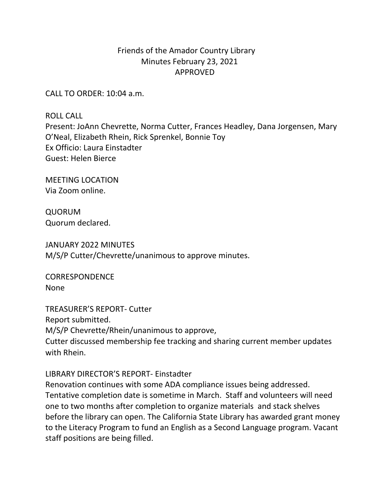## Friends of the Amador Country Library Minutes February 23, 2021 APPROVED

CALL TO ORDER: 10:04 a.m.

**ROLL CALL** Present: JoAnn Chevrette, Norma Cutter, Frances Headley, Dana Jorgensen, Mary O'Neal, Elizabeth Rhein, Rick Sprenkel, Bonnie Toy Ex Officio: Laura Einstadter Guest: Helen Bierce

**MEETING LOCATION** Via Zoom online.

QUORUM Quorum declared.

JANUARY 2022 MINUTES M/S/P Cutter/Chevrette/unanimous to approve minutes.

**CORRESPONDENCE** None

TREASURER'S REPORT- Cutter Report submitted. M/S/P Chevrette/Rhein/unanimous to approve, Cutter discussed membership fee tracking and sharing current member updates with Rhein.

LIBRARY DIRECTOR'S REPORT- Einstadter

Renovation continues with some ADA compliance issues being addressed. Tentative completion date is sometime in March. Staff and volunteers will need one to two months after completion to organize materials and stack shelves before the library can open. The California State Library has awarded grant money to the Literacy Program to fund an English as a Second Language program. Vacant staff positions are being filled.